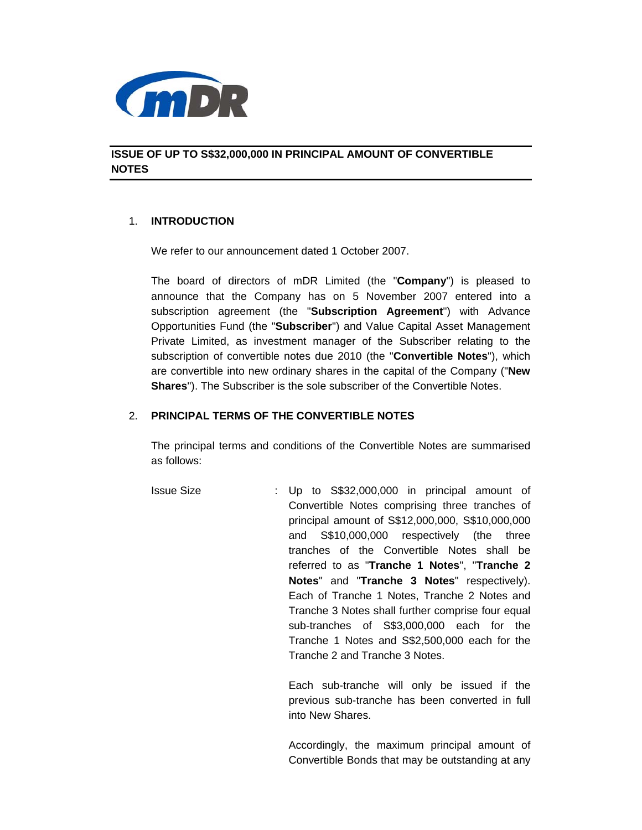

**ISSUE OF UP TO S\$32,000,000 IN PRINCIPAL AMOUNT OF CONVERTIBLE NOTES** 

### 1. **INTRODUCTION**

We refer to our announcement dated 1 October 2007.

The board of directors of mDR Limited (the "**Company**") is pleased to announce that the Company has on 5 November 2007 entered into a subscription agreement (the "**Subscription Agreement**") with Advance Opportunities Fund (the "**Subscriber**") and Value Capital Asset Management Private Limited, as investment manager of the Subscriber relating to the subscription of convertible notes due 2010 (the "**Convertible Notes**"), which are convertible into new ordinary shares in the capital of the Company ("**New Shares**"). The Subscriber is the sole subscriber of the Convertible Notes.

# 2. **PRINCIPAL TERMS OF THE CONVERTIBLE NOTES**

The principal terms and conditions of the Convertible Notes are summarised as follows:

 Issue Size : Up to S\$32,000,000 in principal amount of Convertible Notes comprising three tranches of principal amount of S\$12,000,000, S\$10,000,000 and S\$10,000,000 respectively (the three tranches of the Convertible Notes shall be referred to as "**Tranche 1 Notes**", "**Tranche 2 Notes**" and "**Tranche 3 Notes**" respectively). Each of Tranche 1 Notes, Tranche 2 Notes and Tranche 3 Notes shall further comprise four equal sub-tranches of S\$3,000,000 each for the Tranche 1 Notes and S\$2,500,000 each for the Tranche 2 and Tranche 3 Notes.

> Each sub-tranche will only be issued if the previous sub-tranche has been converted in full into New Shares.

> Accordingly, the maximum principal amount of Convertible Bonds that may be outstanding at any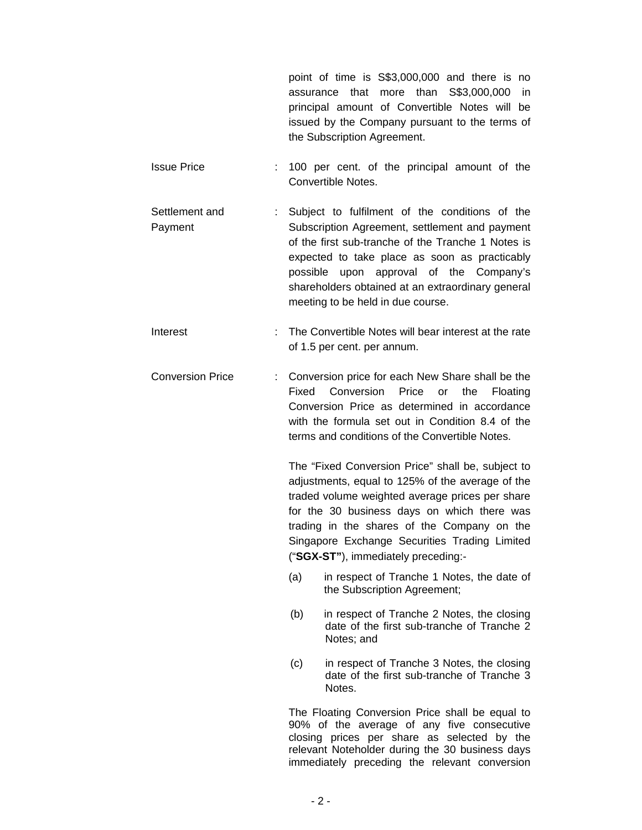point of time is S\$3,000,000 and there is no assurance that more than S\$3,000,000 in principal amount of Convertible Notes will be issued by the Company pursuant to the terms of the Subscription Agreement.

- Issue Price : 100 per cent. of the principal amount of the Convertible Notes.
- Settlement and Payment : Subject to fulfilment of the conditions of the Subscription Agreement, settlement and payment of the first sub-tranche of the Tranche 1 Notes is expected to take place as soon as practicably possible upon approval of the Company's shareholders obtained at an extraordinary general meeting to be held in due course.
- Interest **Interest** interest at the match of the Convertible Notes will bear interest at the rate of 1.5 per cent. per annum.
- Conversion Price : Conversion price for each New Share shall be the Fixed Conversion Price or the Floating Conversion Price as determined in accordance with the formula set out in Condition 8.4 of the terms and conditions of the Convertible Notes.

The "Fixed Conversion Price" shall be, subject to adjustments, equal to 125% of the average of the traded volume weighted average prices per share for the 30 business days on which there was trading in the shares of the Company on the Singapore Exchange Securities Trading Limited ("**SGX-ST"**), immediately preceding:-

- (a) in respect of Tranche 1 Notes, the date of the Subscription Agreement;
- (b) in respect of Tranche 2 Notes, the closing date of the first sub-tranche of Tranche 2 Notes; and
- (c) in respect of Tranche 3 Notes, the closing date of the first sub-tranche of Tranche 3 Notes.

The Floating Conversion Price shall be equal to 90% of the average of any five consecutive closing prices per share as selected by the relevant Noteholder during the 30 business days immediately preceding the relevant conversion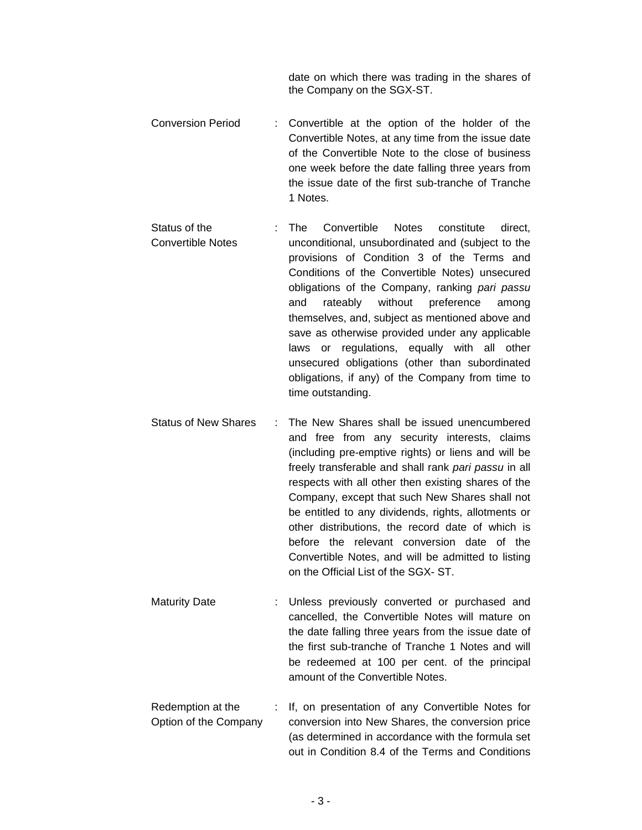date on which there was trading in the shares of the Company on the SGX-ST.

- Conversion Period : Convertible at the option of the holder of the Convertible Notes, at any time from the issue date of the Convertible Note to the close of business one week before the date falling three years from the issue date of the first sub-tranche of Tranche 1 Notes.
- Status of the Convertible Notes : The Convertible Notes constitute direct, unconditional, unsubordinated and (subject to the provisions of Condition 3 of the Terms and Conditions of the Convertible Notes) unsecured obligations of the Company, ranking *pari passu* and rateably without preference among themselves, and, subject as mentioned above and save as otherwise provided under any applicable laws or regulations, equally with all other unsecured obligations (other than subordinated obligations, if any) of the Company from time to time outstanding.
- Status of New Shares : The New Shares shall be issued unencumbered and free from any security interests, claims (including pre-emptive rights) or liens and will be freely transferable and shall rank *pari passu* in all respects with all other then existing shares of the Company, except that such New Shares shall not be entitled to any dividends, rights, allotments or other distributions, the record date of which is before the relevant conversion date of the Convertible Notes, and will be admitted to listing on the Official List of the SGX- ST.
- Maturity Date : Unless previously converted or purchased and cancelled, the Convertible Notes will mature on the date falling three years from the issue date of the first sub-tranche of Tranche 1 Notes and will be redeemed at 100 per cent. of the principal amount of the Convertible Notes.
- Redemption at the Option of the Company : If, on presentation of any Convertible Notes for conversion into New Shares, the conversion price (as determined in accordance with the formula set out in Condition 8.4 of the Terms and Conditions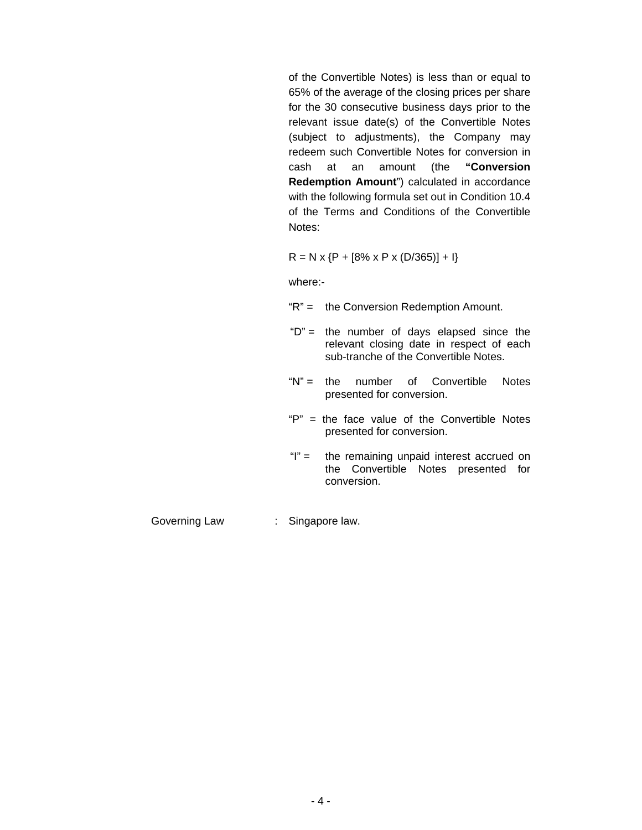of the Convertible Notes) is less than or equal to 65% of the average of the closing prices per share for the 30 consecutive business days prior to the relevant issue date(s) of the Convertible Notes (subject to adjustments), the Company may redeem such Convertible Notes for conversion in cash at an amount (the **"Conversion Redemption Amount**") calculated in accordance with the following formula set out in Condition 10.4 of the Terms and Conditions of the Convertible Notes:

$$
R = N \times \{P + [8\% \times P \times (D/365)] + I\}
$$

where:-

- "R" = the Conversion Redemption Amount.
- " $D$ " = the number of days elapsed since the relevant closing date in respect of each sub-tranche of the Convertible Notes.
- "N" = the number of Convertible Notes presented for conversion.
- "P" = the face value of the Convertible Notes presented for conversion.
- "I" = the remaining unpaid interest accrued on the Convertible Notes presented for conversion.

Governing Law : Singapore law.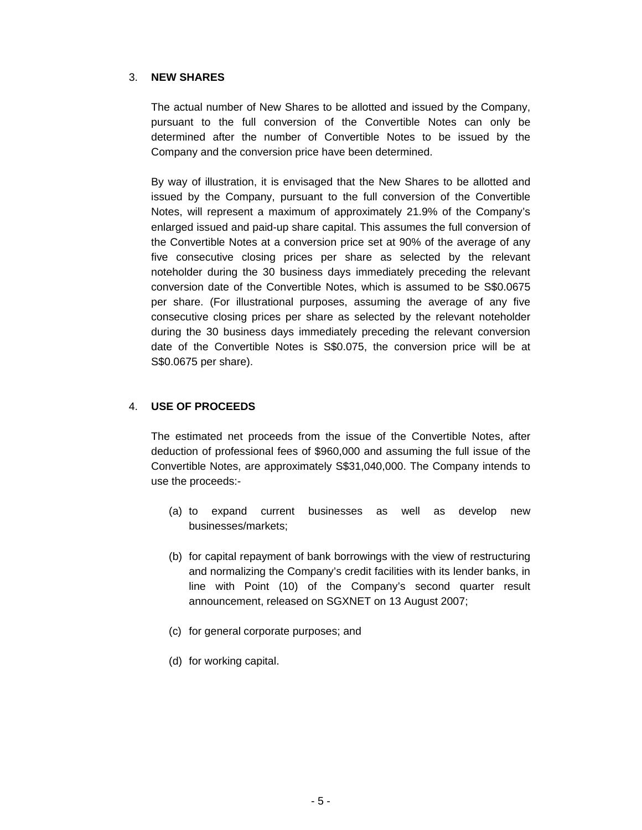# 3. **NEW SHARES**

The actual number of New Shares to be allotted and issued by the Company, pursuant to the full conversion of the Convertible Notes can only be determined after the number of Convertible Notes to be issued by the Company and the conversion price have been determined.

By way of illustration, it is envisaged that the New Shares to be allotted and issued by the Company, pursuant to the full conversion of the Convertible Notes, will represent a maximum of approximately 21.9% of the Company's enlarged issued and paid-up share capital. This assumes the full conversion of the Convertible Notes at a conversion price set at 90% of the average of any five consecutive closing prices per share as selected by the relevant noteholder during the 30 business days immediately preceding the relevant conversion date of the Convertible Notes, which is assumed to be S\$0.0675 per share. (For illustrational purposes, assuming the average of any five consecutive closing prices per share as selected by the relevant noteholder during the 30 business days immediately preceding the relevant conversion date of the Convertible Notes is S\$0.075, the conversion price will be at S\$0.0675 per share).

# 4. **USE OF PROCEEDS**

The estimated net proceeds from the issue of the Convertible Notes, after deduction of professional fees of \$960,000 and assuming the full issue of the Convertible Notes, are approximately S\$31,040,000. The Company intends to use the proceeds:-

- (a) to expand current businesses as well as develop new businesses/markets;
- (b) for capital repayment of bank borrowings with the view of restructuring and normalizing the Company's credit facilities with its lender banks, in line with Point (10) of the Company's second quarter result announcement, released on SGXNET on 13 August 2007;
- (c) for general corporate purposes; and
- (d) for working capital.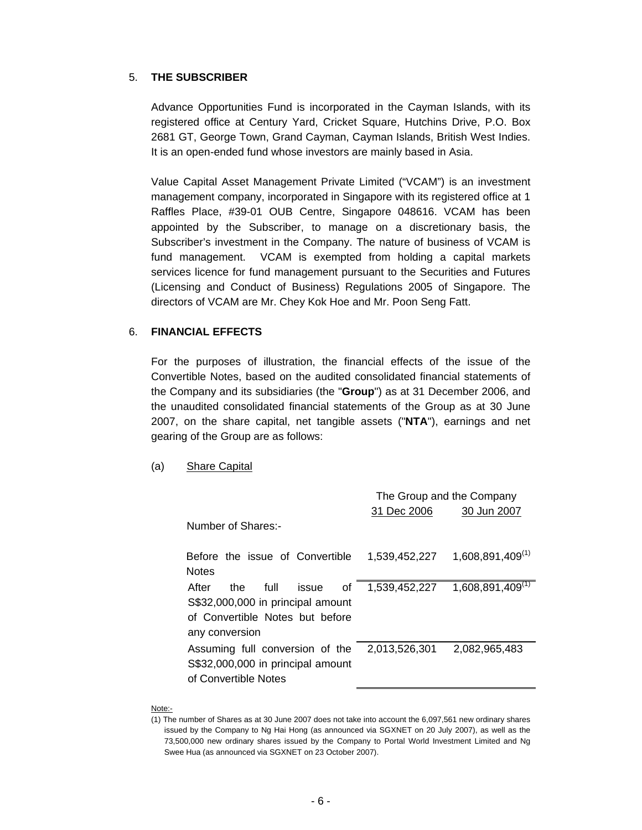### 5. **THE SUBSCRIBER**

Advance Opportunities Fund is incorporated in the Cayman Islands, with its registered office at Century Yard, Cricket Square, Hutchins Drive, P.O. Box 2681 GT, George Town, Grand Cayman, Cayman Islands, British West Indies. It is an open-ended fund whose investors are mainly based in Asia.

Value Capital Asset Management Private Limited ("VCAM") is an investment management company, incorporated in Singapore with its registered office at 1 Raffles Place, #39-01 OUB Centre, Singapore 048616. VCAM has been appointed by the Subscriber, to manage on a discretionary basis, the Subscriber's investment in the Company. The nature of business of VCAM is fund management. VCAM is exempted from holding a capital markets services licence for fund management pursuant to the Securities and Futures (Licensing and Conduct of Business) Regulations 2005 of Singapore. The directors of VCAM are Mr. Chey Kok Hoe and Mr. Poon Seng Fatt.

### 6. **FINANCIAL EFFECTS**

For the purposes of illustration, the financial effects of the issue of the Convertible Notes, based on the audited consolidated financial statements of the Company and its subsidiaries (the "**Group**") as at 31 December 2006, and the unaudited consolidated financial statements of the Group as at 30 June 2007, on the share capital, net tangible assets ("**NTA**"), earnings and net gearing of the Group are as follows:

### (a) Share Capital

|                                                                                                                               | The Group and the Company<br>31 Dec 2006<br>30 Jun 2007 |                       |
|-------------------------------------------------------------------------------------------------------------------------------|---------------------------------------------------------|-----------------------|
| Number of Shares:-                                                                                                            |                                                         |                       |
| Before the issue of Convertible<br><b>Notes</b>                                                                               | 1,539,452,227                                           | $1,608,891,409^{(1)}$ |
| After<br>full<br>the<br>issue<br>οf<br>S\$32,000,000 in principal amount<br>of Convertible Notes but before<br>any conversion | 1,539,452,227                                           | $1,608,891,409^{(1)}$ |
| Assuming full conversion of the<br>S\$32,000,000 in principal amount<br>of Convertible Notes                                  | 2,013,526,301                                           | 2,082,965,483         |

#### Note:-

<sup>(1)</sup> The number of Shares as at 30 June 2007 does not take into account the 6,097,561 new ordinary shares issued by the Company to Ng Hai Hong (as announced via SGXNET on 20 July 2007), as well as the 73,500,000 new ordinary shares issued by the Company to Portal World Investment Limited and Ng Swee Hua (as announced via SGXNET on 23 October 2007).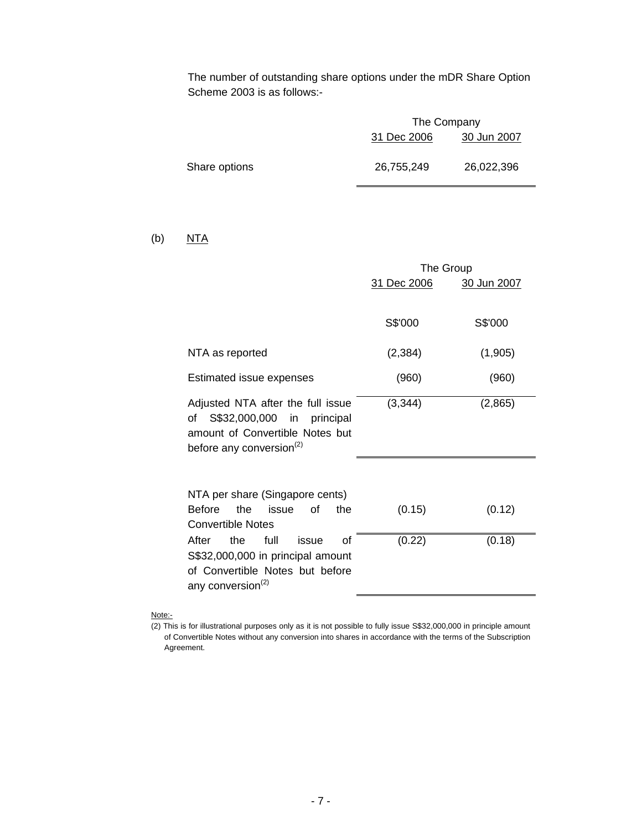The number of outstanding share options under the mDR Share Option Scheme 2003 is as follows:-

|               | The Company |             |
|---------------|-------------|-------------|
|               | 31 Dec 2006 | 30 Jun 2007 |
| Share options | 26,755,249  | 26,022,396  |

### (b)  $NTA$

|                                                                                                                                                  | The Group   |             |
|--------------------------------------------------------------------------------------------------------------------------------------------------|-------------|-------------|
|                                                                                                                                                  | 31 Dec 2006 | 30 Jun 2007 |
|                                                                                                                                                  | S\$'000     | S\$'000     |
| NTA as reported                                                                                                                                  | (2, 384)    | (1,905)     |
| Estimated issue expenses                                                                                                                         | (960)       | (960)       |
| Adjusted NTA after the full issue<br>of<br>S\$32,000,000 in principal<br>amount of Convertible Notes but<br>before any conversion <sup>(2)</sup> | (3, 344)    | (2,865)     |
| NTA per share (Singapore cents)<br>the<br><b>Before</b><br>issue<br>0f<br>the<br><b>Convertible Notes</b>                                        | (0.15)      | (0.12)      |
| of<br>After<br>full<br>the<br>issue<br>S\$32,000,000 in principal amount<br>of Convertible Notes but before<br>any conversion <sup>(2)</sup>     | (0.22)      | (0.18)      |

### Note:-

<sup>(2)</sup> This is for illustrational purposes only as it is not possible to fully issue S\$32,000,000 in principle amount of Convertible Notes without any conversion into shares in accordance with the terms of the Subscription Agreement.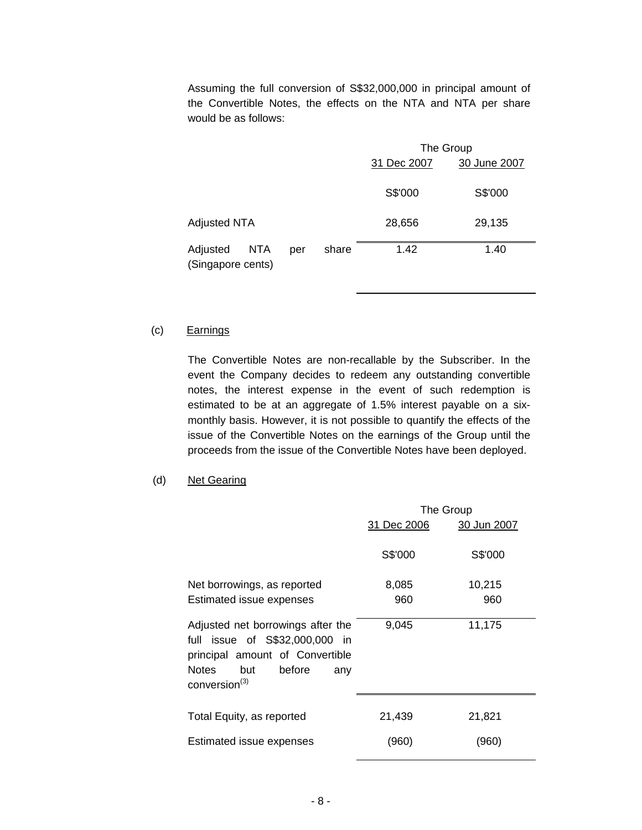Assuming the full conversion of S\$32,000,000 in principal amount of the Convertible Notes, the effects on the NTA and NTA per share would be as follows:

|                                                             | The Group   |              |
|-------------------------------------------------------------|-------------|--------------|
|                                                             | 31 Dec 2007 | 30 June 2007 |
|                                                             | S\$'000     | S\$'000      |
| <b>Adjusted NTA</b>                                         | 28,656      | 29,135       |
| <b>NTA</b><br>share<br>Adjusted<br>per<br>(Singapore cents) | 1.42        | 1.40         |

# (c) Earnings

The Convertible Notes are non-recallable by the Subscriber. In the event the Company decides to redeem any outstanding convertible notes, the interest expense in the event of such redemption is estimated to be at an aggregate of 1.5% interest payable on a sixmonthly basis. However, it is not possible to quantify the effects of the issue of the Convertible Notes on the earnings of the Group until the proceeds from the issue of the Convertible Notes have been deployed.

(d) Net Gearing

|                                                                                                                                                                             | The Group   |             |
|-----------------------------------------------------------------------------------------------------------------------------------------------------------------------------|-------------|-------------|
|                                                                                                                                                                             | 31 Dec 2006 | 30 Jun 2007 |
|                                                                                                                                                                             | S\$'000     | S\$'000     |
| Net borrowings, as reported                                                                                                                                                 | 8,085       | 10,215      |
| Estimated issue expenses                                                                                                                                                    | 960         | 960         |
| Adjusted net borrowings after the<br>full issue of S\$32,000,000 in<br>principal amount of Convertible<br><b>Notes</b><br>before<br>but<br>any<br>conversion <sup>(3)</sup> | 9,045       | 11,175      |
| Total Equity, as reported                                                                                                                                                   | 21,439      | 21,821      |
| Estimated issue expenses                                                                                                                                                    | (960)       | (960)       |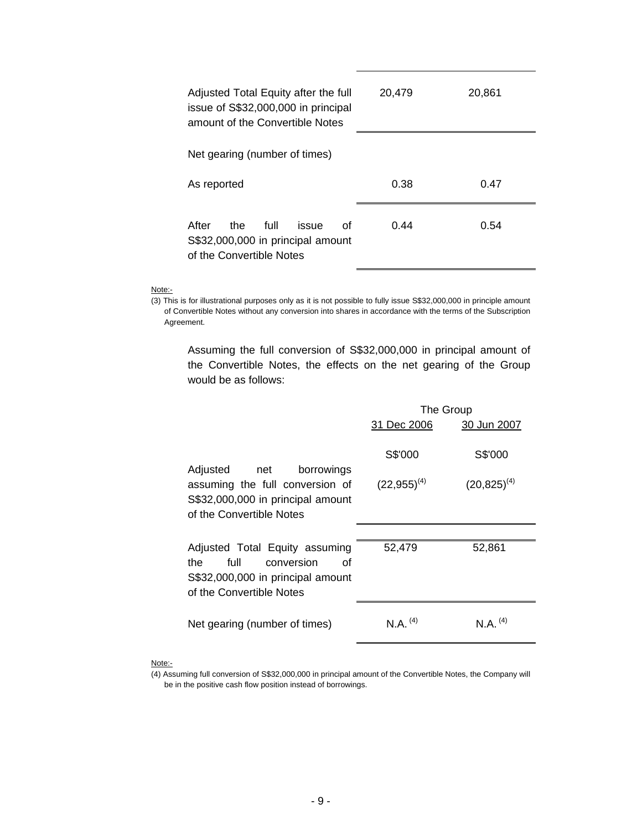| Adjusted Total Equity after the full<br>issue of S\$32,000,000 in principal<br>amount of the Convertible Notes | 20,479 | 20,861 |
|----------------------------------------------------------------------------------------------------------------|--------|--------|
| Net gearing (number of times)                                                                                  |        |        |
| As reported                                                                                                    | 0.38   | 0.47   |
| After<br>full<br>the<br>οf<br>issue<br>S\$32,000,000 in principal amount<br>of the Convertible Notes           | 0.44   | 0.54   |

#### Note:-

(3) This is for illustrational purposes only as it is not possible to fully issue S\$32,000,000 in principle amount of Convertible Notes without any conversion into shares in accordance with the terms of the Subscription Agreement.

 Assuming the full conversion of S\$32,000,000 in principal amount of the Convertible Notes, the effects on the net gearing of the Group would be as follows:

|                                                                                                                                    | The Group<br>31 Dec 2006<br>30 Jun 2007 |                   |
|------------------------------------------------------------------------------------------------------------------------------------|-----------------------------------------|-------------------|
| Adjusted<br>borrowings<br>net                                                                                                      | S\$'000                                 | S\$'000           |
| assuming the full conversion of<br>S\$32,000,000 in principal amount<br>of the Convertible Notes                                   | $(22,955)^{(4)}$                        | $(20, 825)^{(4)}$ |
|                                                                                                                                    |                                         |                   |
| Adjusted Total Equity assuming<br>full<br>the<br>conversion<br>Ωf<br>S\$32,000,000 in principal amount<br>of the Convertible Notes | 52,479                                  | 52,861            |
| Net gearing (number of times)                                                                                                      | $N.A.$ <sup>(4)</sup>                   | $N A^{(4)}$       |

#### Note:-

<sup>(4)</sup> Assuming full conversion of S\$32,000,000 in principal amount of the Convertible Notes, the Company will be in the positive cash flow position instead of borrowings.